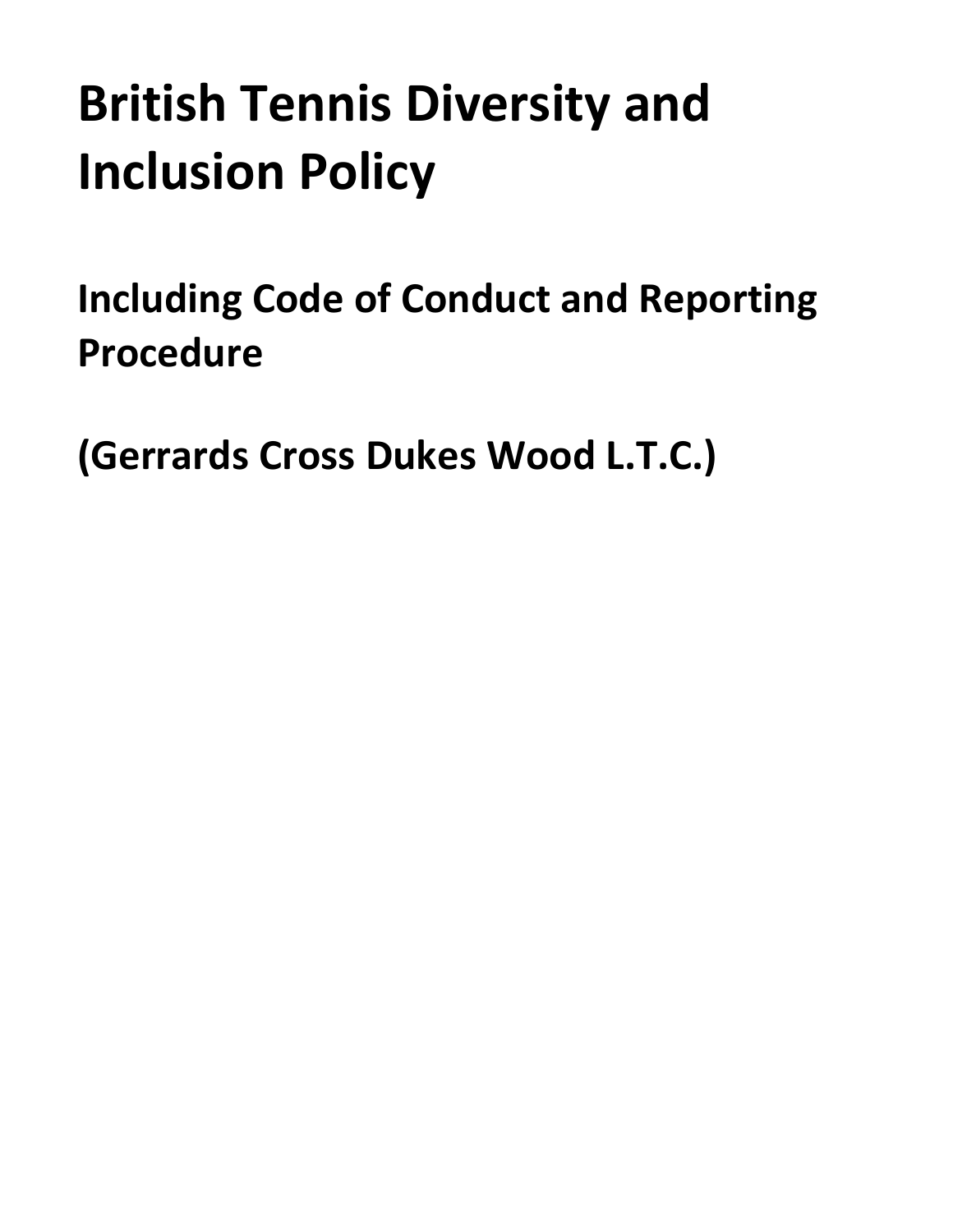# **British Tennis Diversity and Inclusion Policy**

<span id="page-0-0"></span>**Including Code of Conduct and Reporting Procedure**

**(Gerrards Cross Dukes Wood L.T.C.)**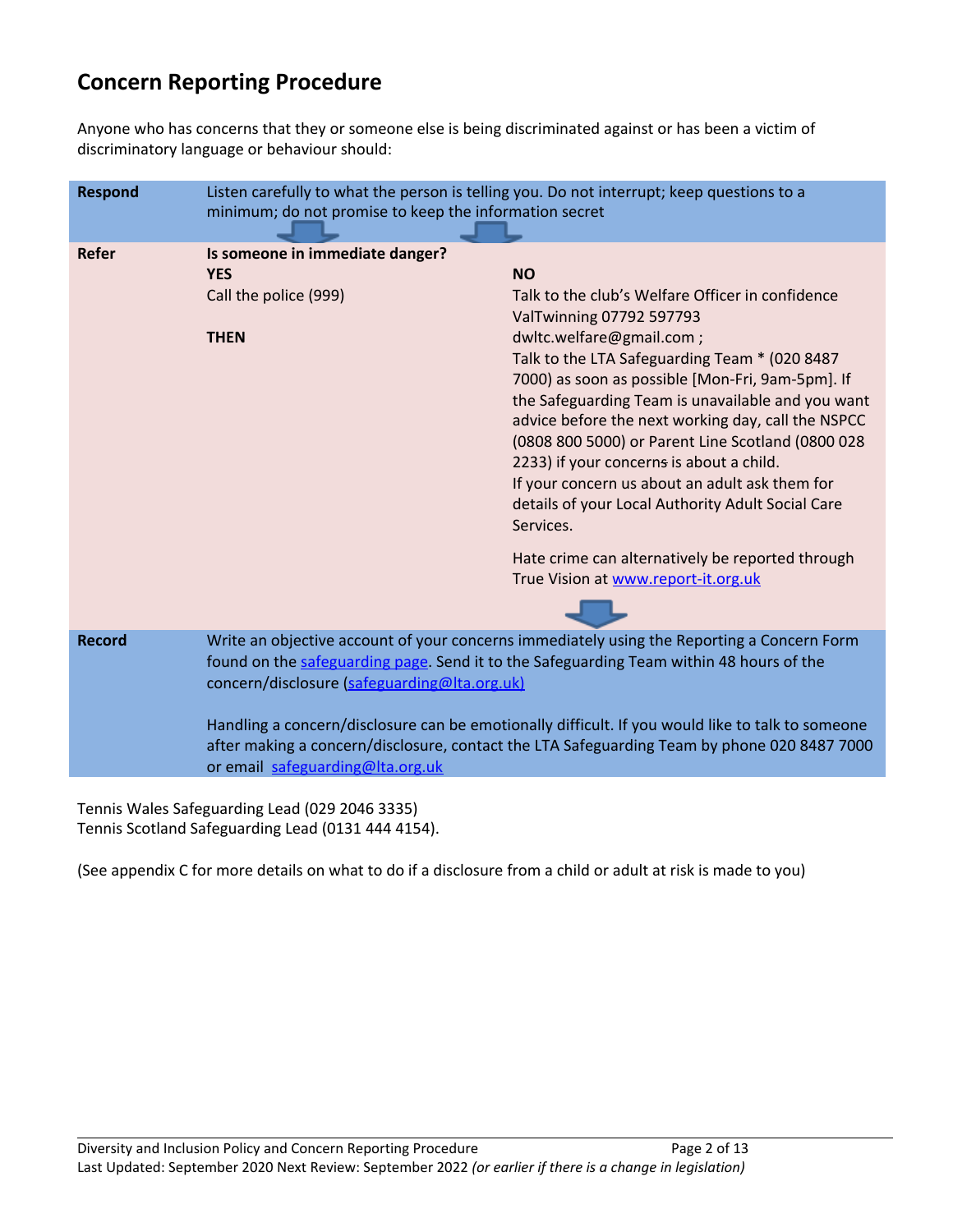## **Concern Reporting Procedure**

Anyone who has concerns that they or someone else is being discriminated against or has been a victim of discriminatory language or behaviour should:

| <b>Respond</b> | Listen carefully to what the person is telling you. Do not interrupt; keep questions to a<br>minimum; do not promise to keep the information secret                                                                                                                                                                                                                                                                                                                          |                                                                                                                                                                                                                                                                                                                                                                                                                                                                                                                                                             |
|----------------|------------------------------------------------------------------------------------------------------------------------------------------------------------------------------------------------------------------------------------------------------------------------------------------------------------------------------------------------------------------------------------------------------------------------------------------------------------------------------|-------------------------------------------------------------------------------------------------------------------------------------------------------------------------------------------------------------------------------------------------------------------------------------------------------------------------------------------------------------------------------------------------------------------------------------------------------------------------------------------------------------------------------------------------------------|
| <b>Refer</b>   | Is someone in immediate danger?<br><b>YES</b><br>Call the police (999)<br><b>THEN</b>                                                                                                                                                                                                                                                                                                                                                                                        | <b>NO</b><br>Talk to the club's Welfare Officer in confidence<br>ValTwinning 07792 597793<br>dwltc.welfare@gmail.com ;<br>Talk to the LTA Safeguarding Team * (020 8487<br>7000) as soon as possible [Mon-Fri, 9am-5pm]. If<br>the Safeguarding Team is unavailable and you want<br>advice before the next working day, call the NSPCC<br>(0808 800 5000) or Parent Line Scotland (0800 028<br>2233) if your concerns is about a child.<br>If your concern us about an adult ask them for<br>details of your Local Authority Adult Social Care<br>Services. |
|                |                                                                                                                                                                                                                                                                                                                                                                                                                                                                              | Hate crime can alternatively be reported through<br>True Vision at www.report-it.org.uk                                                                                                                                                                                                                                                                                                                                                                                                                                                                     |
| <b>Record</b>  | Write an objective account of your concerns immediately using the Reporting a Concern Form<br>found on the safeguarding page. Send it to the Safeguarding Team within 48 hours of the<br>concern/disclosure (safeguarding@lta.org.uk)<br>Handling a concern/disclosure can be emotionally difficult. If you would like to talk to someone<br>after making a concern/disclosure, contact the LTA Safeguarding Team by phone 020 8487 7000<br>or email safeguarding@Ita.org.uk |                                                                                                                                                                                                                                                                                                                                                                                                                                                                                                                                                             |
|                |                                                                                                                                                                                                                                                                                                                                                                                                                                                                              |                                                                                                                                                                                                                                                                                                                                                                                                                                                                                                                                                             |

Tennis Wales Safeguarding Lead (029 2046 3335) Tennis Scotland Safeguarding Lead (0131 444 4154).

(See appendix C for more details on what to do if a disclosure from a child or adult at risk is made to you)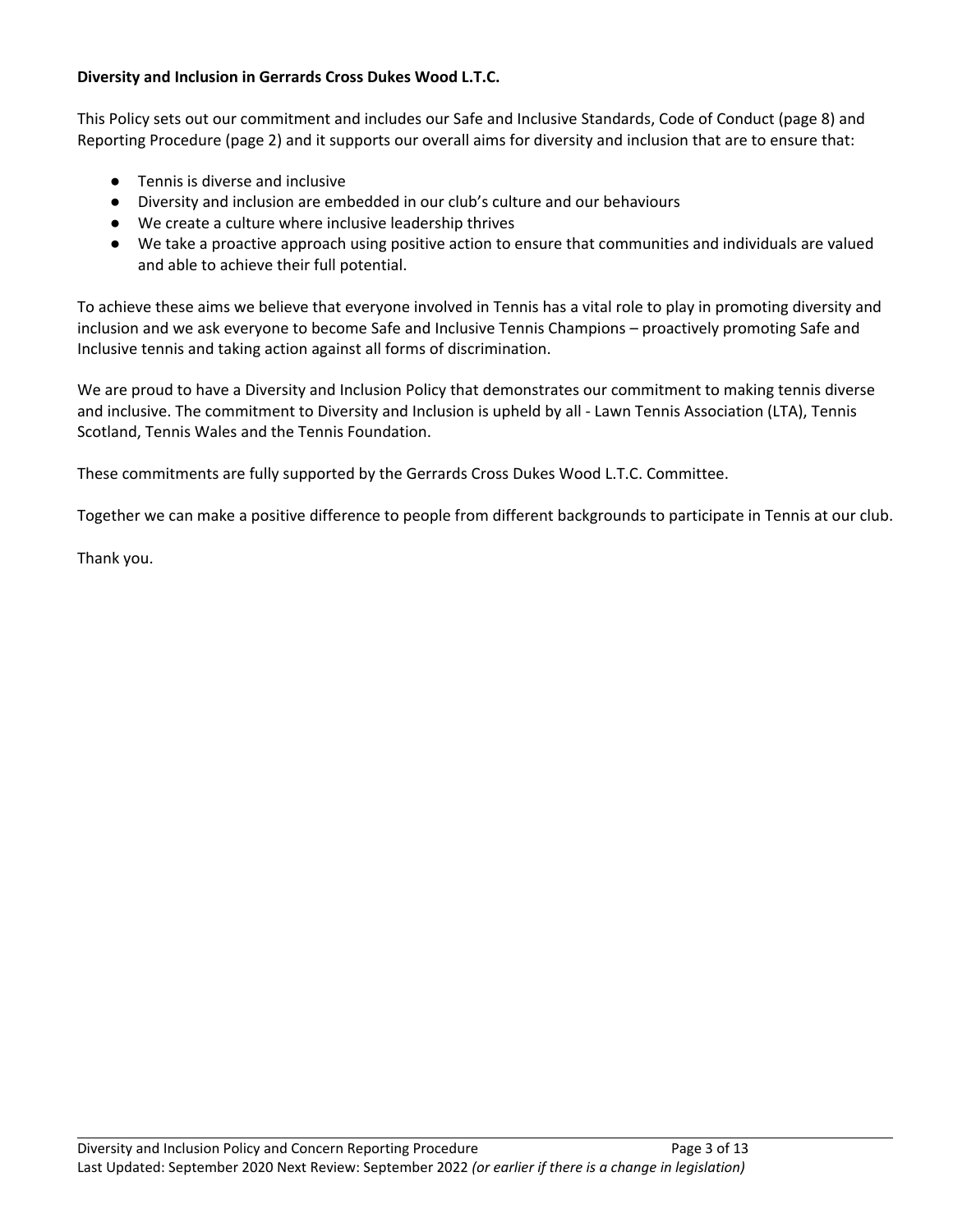#### **Diversity and Inclusion in Gerrards Cross Dukes Wood L.T.C.**

This Policy sets out our commitment and includes our Safe and Inclusive Standards, Code of Conduct (page 8) and Reporting Procedure (page 2) and it supports our overall aims for diversity and inclusion that are to ensure that:

- Tennis is diverse and inclusive
- Diversity and inclusion are embedded in our club's culture and our behaviours
- We create a culture where inclusive leadership thrives
- We take a proactive approach using positive action to ensure that communities and individuals are valued and able to achieve their full potential.

To achieve these aims we believe that everyone involved in Tennis has a vital role to play in promoting diversity and inclusion and we ask everyone to become Safe and Inclusive Tennis Champions – proactively promoting Safe and Inclusive tennis and taking action against all forms of discrimination.

We are proud to have a Diversity and Inclusion Policy that demonstrates our commitment to making tennis diverse and inclusive. The commitment to Diversity and Inclusion is upheld by all - Lawn Tennis Association (LTA), Tennis Scotland, Tennis Wales and the Tennis Foundation.

These commitments are fully supported by the Gerrards Cross Dukes Wood L.T.C. Committee.

Together we can make a positive difference to people from different backgrounds to participate in Tennis at our club.

Thank you.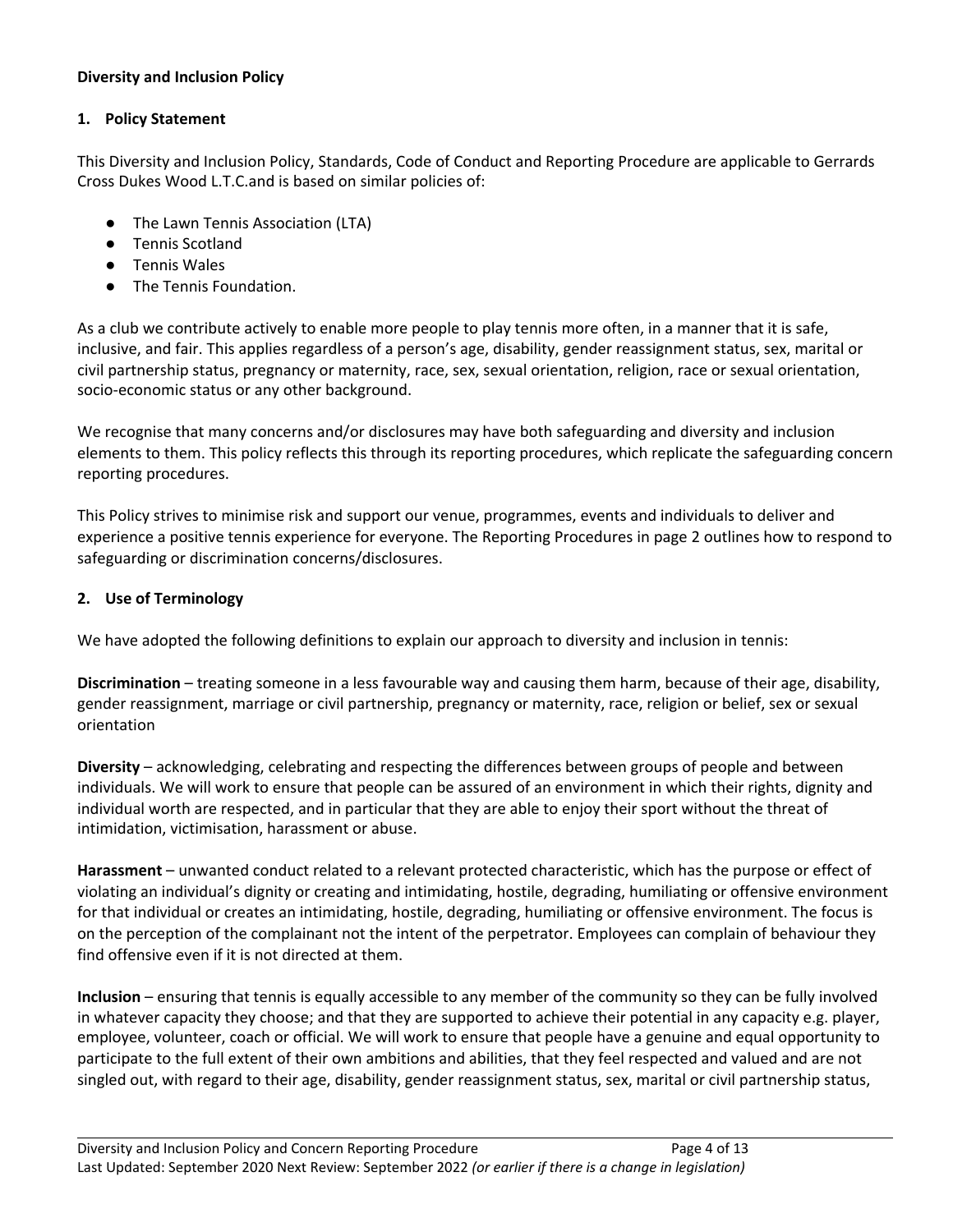#### **Diversity and Inclusion Policy**

#### **1. Policy Statement**

This Diversity and Inclusion Policy, Standards, Code of Conduct and Reporting Procedure are applicable to Gerrards Cross Dukes Wood L.T.C.and is based on similar policies of:

- The Lawn Tennis Association (LTA)
- Tennis Scotland
- Tennis Wales
- The Tennis Foundation.

As a club we contribute actively to enable more people to play tennis more often, in a manner that it is safe, inclusive, and fair. This applies regardless of a person's age, disability, gender reassignment status, sex, marital or civil partnership status, pregnancy or maternity, race, sex, sexual orientation, religion, race or sexual orientation, socio-economic status or any other background.

We recognise that many concerns and/or disclosures may have both safeguarding and diversity and inclusion elements to them. This policy reflects this through its reporting procedures, which replicate the safeguarding concern reporting procedures.

This Policy strives to minimise risk and support our venue, programmes, events and individuals to deliver and experience a positive tennis experience for everyone. The Reporting Procedures in page 2 outlines how to respond to safeguarding or discrimination concerns/disclosures.

#### **2. Use of Terminology**

We have adopted the following definitions to explain our approach to diversity and inclusion in tennis:

**Discrimination** – treating someone in a less favourable way and causing them harm, because of their age, disability, gender reassignment, marriage or civil partnership, pregnancy or maternity, race, religion or belief, sex or sexual orientation

**Diversity** – acknowledging, celebrating and respecting the differences between groups of people and between individuals. We will work to ensure that people can be assured of an environment in which their rights, dignity and individual worth are respected, and in particular that they are able to enjoy their sport without the threat of intimidation, victimisation, harassment or abuse.

**Harassment** – unwanted conduct related to a relevant protected characteristic, which has the purpose or effect of violating an individual's dignity or creating and intimidating, hostile, degrading, humiliating or offensive environment for that individual or creates an intimidating, hostile, degrading, humiliating or offensive environment. The focus is on the perception of the complainant not the intent of the perpetrator. Employees can complain of behaviour they find offensive even if it is not directed at them.

**Inclusion** – ensuring that tennis is equally accessible to any member of the community so they can be fully involved in whatever capacity they choose; and that they are supported to achieve their potential in any capacity e.g. player, employee, volunteer, coach or official. We will work to ensure that people have a genuine and equal opportunity to participate to the full extent of their own ambitions and abilities, that they feel respected and valued and are not singled out, with regard to their age, disability, gender reassignment status, sex, marital or civil partnership status,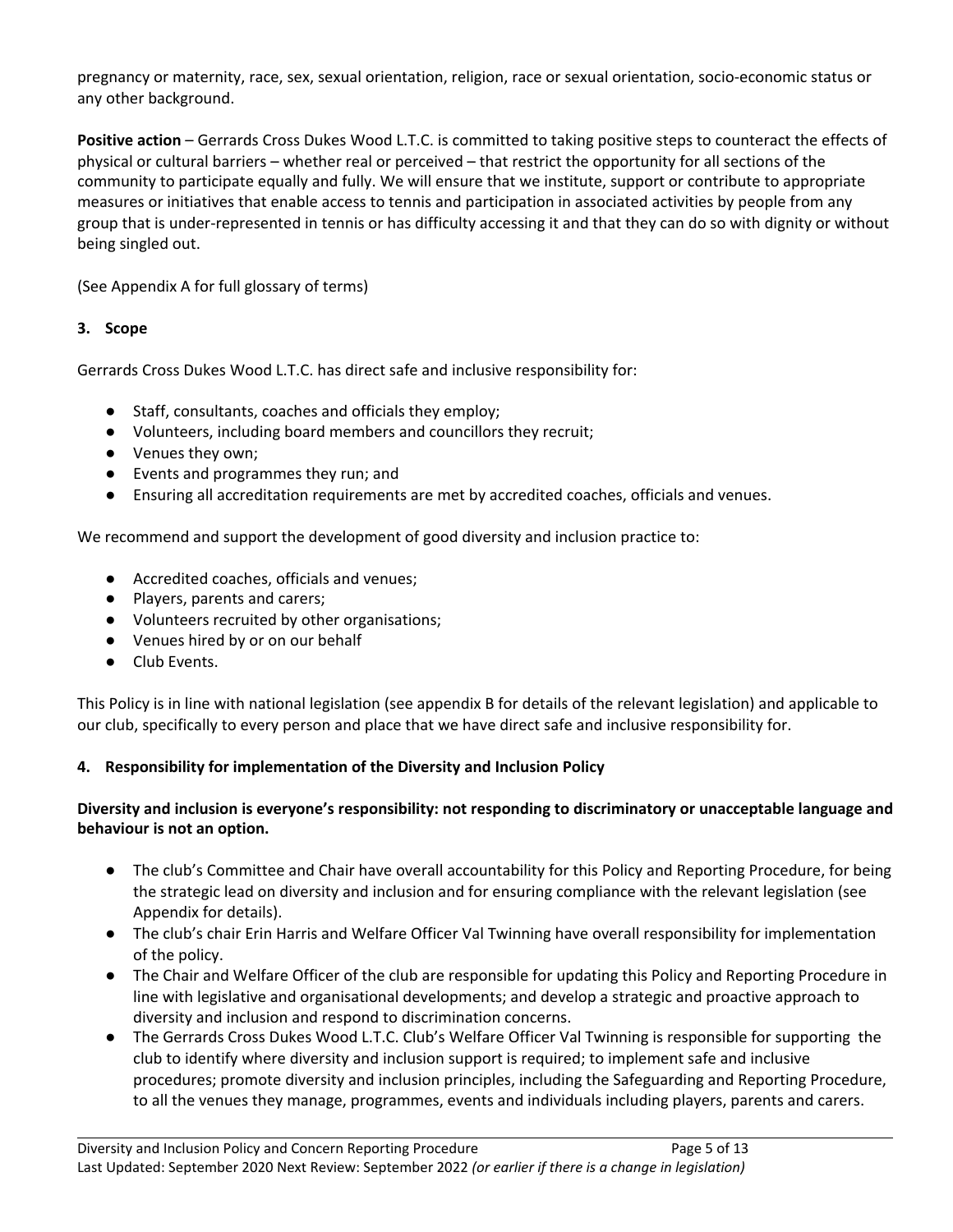pregnancy or maternity, race, sex, sexual orientation, religion, race or sexual orientation, socio-economic status or any other background.

**Positive action** – Gerrards Cross Dukes Wood L.T.C. is committed to taking positive steps to counteract the effects of physical or cultural barriers – whether real or perceived – that restrict the opportunity for all sections of the community to participate equally and fully. We will ensure that we institute, support or contribute to appropriate measures or initiatives that enable access to tennis and participation in associated activities by people from any group that is under-represented in tennis or has difficulty accessing it and that they can do so with dignity or without being singled out.

(See Appendix A for full glossary of terms)

#### **3. Scope**

Gerrards Cross Dukes Wood L.T.C. has direct safe and inclusive responsibility for:

- Staff, consultants, coaches and officials they employ;
- Volunteers, including board members and councillors they recruit;
- Venues they own;
- Events and programmes they run; and
- Ensuring all accreditation requirements are met by accredited coaches, officials and venues.

We recommend and support the development of good diversity and inclusion practice to:

- Accredited coaches, officials and venues;
- Players, parents and carers;
- Volunteers recruited by other organisations;
- Venues hired by or on our behalf
- Club Events.

This Policy is in line with national legislation (see appendix B for details of the relevant legislation) and applicable to our club, specifically to every person and place that we have direct safe and inclusive responsibility for.

#### **4. Responsibility for implementation of the Diversity and Inclusion Policy**

#### **Diversity and inclusion is everyone's responsibility: not responding to discriminatory or unacceptable language and behaviour is not an option.**

- The club's Committee and Chair have overall accountability for this Policy and Reporting Procedure, for being the strategic lead on diversity and inclusion and for ensuring compliance with the relevant legislation (see Appendix for details).
- The club's chair Erin Harris and Welfare Officer Val Twinning have overall responsibility for implementation of the policy.
- The Chair and Welfare Officer of the club are responsible for updating this Policy and Reporting Procedure in line with legislative and organisational developments; and develop a strategic and proactive approach to diversity and inclusion and respond to discrimination concerns.
- The Gerrards Cross Dukes Wood L.T.C. Club's Welfare Officer Val Twinning is responsible for supporting the club to identify where diversity and inclusion support is required; to implement safe and inclusive procedures; promote diversity and inclusion principles, including the Safeguarding and Reporting Procedure, to all the venues they manage, programmes, events and individuals including players, parents and carers.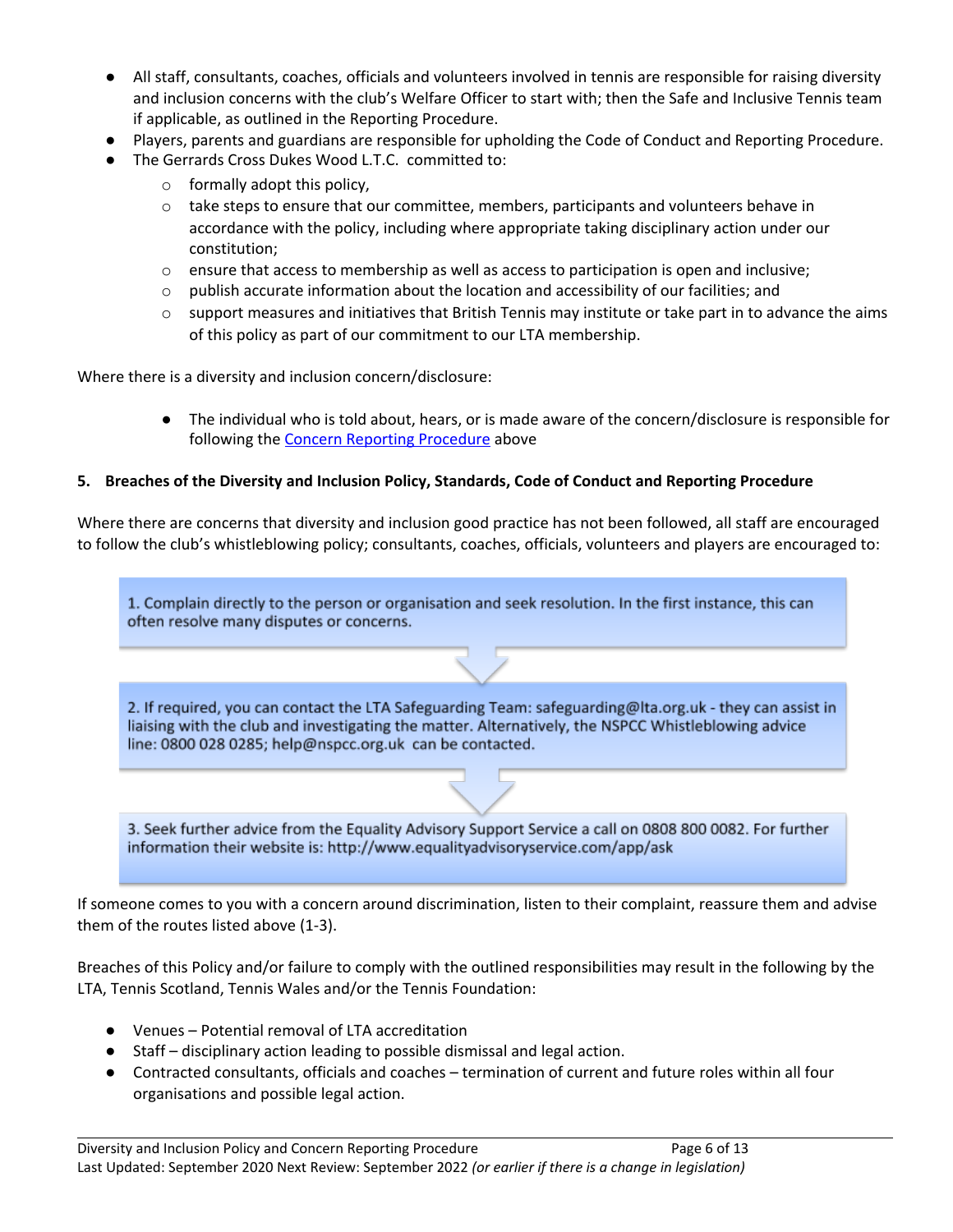- All staff, consultants, coaches, officials and volunteers involved in tennis are responsible for raising diversity and inclusion concerns with the club's Welfare Officer to start with; then the Safe and Inclusive Tennis team if applicable, as outlined in the Reporting Procedure.
- Players, parents and guardians are responsible for upholding the Code of Conduct and Reporting Procedure.
- The Gerrards Cross Dukes Wood L.T.C. committed to:
	- $\circ$  formally adopt this policy,
	- $\circ$  take steps to ensure that our committee, members, participants and volunteers behave in accordance with the policy, including where appropriate taking disciplinary action under our constitution;
	- $\circ$  ensure that access to membership as well as access to participation is open and inclusive;
	- $\circ$  publish accurate information about the location and accessibility of our facilities; and
	- $\circ$  support measures and initiatives that British Tennis may institute or take part in to advance the aims of this policy as part of our commitment to our LTA membership.

Where there is a diversity and inclusion concern/disclosure:

● The individual who is told about, hears, or is made aware of the concern/disclosure is responsible for following the Concern Reporting [Procedure](#page-0-0) above

#### **5. Breaches of the Diversity and Inclusion Policy, Standards, Code of Conduct and Reporting Procedure**

Where there are concerns that diversity and inclusion good practice has not been followed, all staff are encouraged to follow the club's whistleblowing policy; consultants, coaches, officials, volunteers and players are encouraged to:

1. Complain directly to the person or organisation and seek resolution. In the first instance, this can often resolve many disputes or concerns.

2. If required, you can contact the LTA Safeguarding Team: safeguarding@lta.org.uk - they can assist in liaising with the club and investigating the matter. Alternatively, the NSPCC Whistleblowing advice line: 0800 028 0285; help@nspcc.org.uk can be contacted.

3. Seek further advice from the Equality Advisory Support Service a call on 0808 800 0082. For further information their website is: http://www.equalityadvisoryservice.com/app/ask

If someone comes to you with a concern around discrimination, listen to their complaint, reassure them and advise them of the routes listed above (1-3).

Breaches of this Policy and/or failure to comply with the outlined responsibilities may result in the following by the LTA, Tennis Scotland, Tennis Wales and/or the Tennis Foundation:

- Venues Potential removal of LTA accreditation
- Staff disciplinary action leading to possible dismissal and legal action.
- Contracted consultants, officials and coaches termination of current and future roles within all four organisations and possible legal action.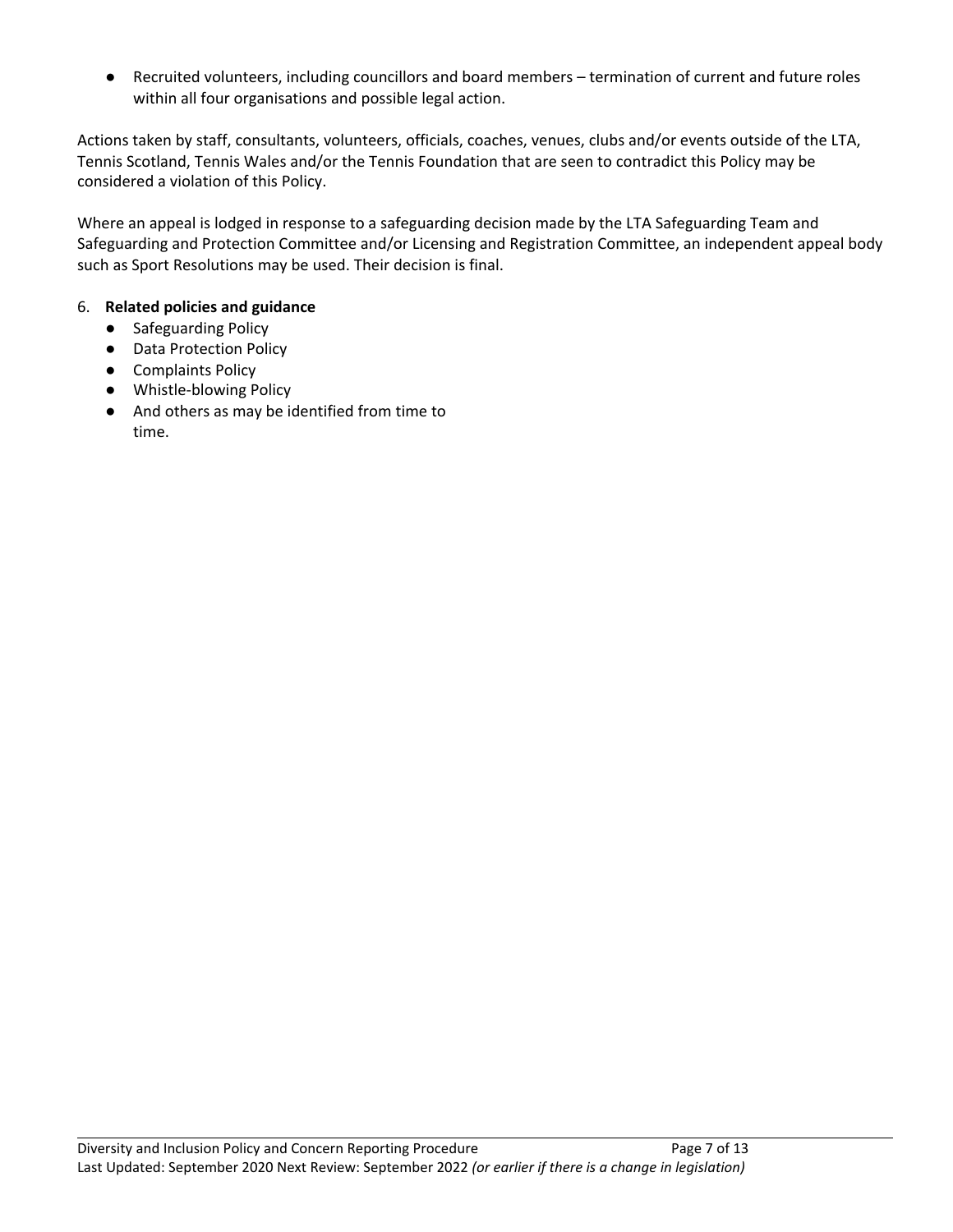● Recruited volunteers, including councillors and board members – termination of current and future roles within all four organisations and possible legal action.

Actions taken by staff, consultants, volunteers, officials, coaches, venues, clubs and/or events outside of the LTA, Tennis Scotland, Tennis Wales and/or the Tennis Foundation that are seen to contradict this Policy may be considered a violation of this Policy.

Where an appeal is lodged in response to a safeguarding decision made by the LTA Safeguarding Team and Safeguarding and Protection Committee and/or Licensing and Registration Committee, an independent appeal body such as Sport Resolutions may be used. Their decision is final.

#### 6. **Related policies and guidance**

- Safeguarding Policy
- Data Protection Policy
- Complaints Policy
- Whistle-blowing Policy
- And others as may be identified from time to time.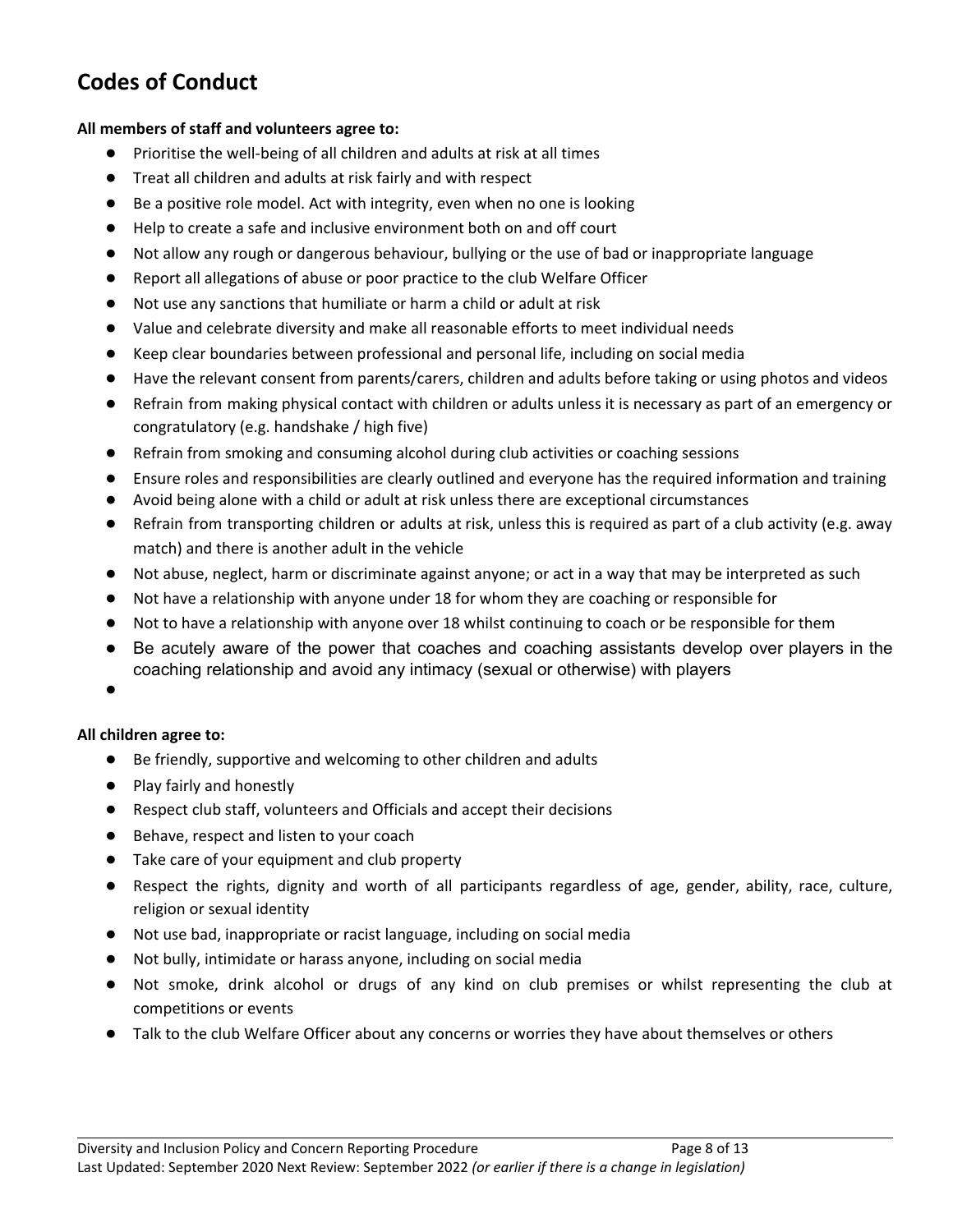## **Codes of Conduct**

#### **All members of staff and volunteers agree to:**

- Prioritise the well-being of all children and adults at risk at all times
- Treat all children and adults at risk fairly and with respect
- Be a positive role model. Act with integrity, even when no one is looking
- Help to create a safe and inclusive environment both on and off court
- Not allow any rough or dangerous behaviour, bullying or the use of bad or inappropriate language
- Report all allegations of abuse or poor practice to the club Welfare Officer
- Not use any sanctions that humiliate or harm a child or adult at risk
- Value and celebrate diversity and make all reasonable efforts to meet individual needs
- Keep clear boundaries between professional and personal life, including on social media
- Have the relevant consent from parents/carers, children and adults before taking or using photos and videos
- Refrain from making physical contact with children or adults unless it is necessary as part of an emergency or congratulatory (e.g. handshake / high five)
- Refrain from smoking and consuming alcohol during club activities or coaching sessions
- **●** Ensure roles and responsibilities are clearly outlined and everyone has the required information and training
- Avoid being alone with a child or adult at risk unless there are exceptional circumstances
- Refrain from transporting children or adults at risk, unless this is required as part of a club activity (e.g. away match) and there is another adult in the vehicle
- Not abuse, neglect, harm or discriminate against anyone; or act in a way that may be interpreted as such
- Not have a relationship with anyone under 18 for whom they are coaching or responsible for
- Not to have a relationship with anyone over 18 whilst continuing to coach or be responsible for them
- Be acutely aware of the power that coaches and coaching assistants develop over players in the coaching relationship and avoid any intimacy (sexual or otherwise) with players
- ●

#### **All children agree to:**

- Be friendly, supportive and welcoming to other children and adults
- Play fairly and honestly
- Respect club staff, volunteers and Officials and accept their decisions
- Behave, respect and listen to your coach
- Take care of your equipment and club property
- Respect the rights, dignity and worth of all participants regardless of age, gender, ability, race, culture, religion or sexual identity
- Not use bad, inappropriate or racist language, including on social media
- Not bully, intimidate or harass anyone, including on social media
- Not smoke, drink alcohol or drugs of any kind on club premises or whilst representing the club at competitions or events
- Talk to the club Welfare Officer about any concerns or worries they have about themselves or others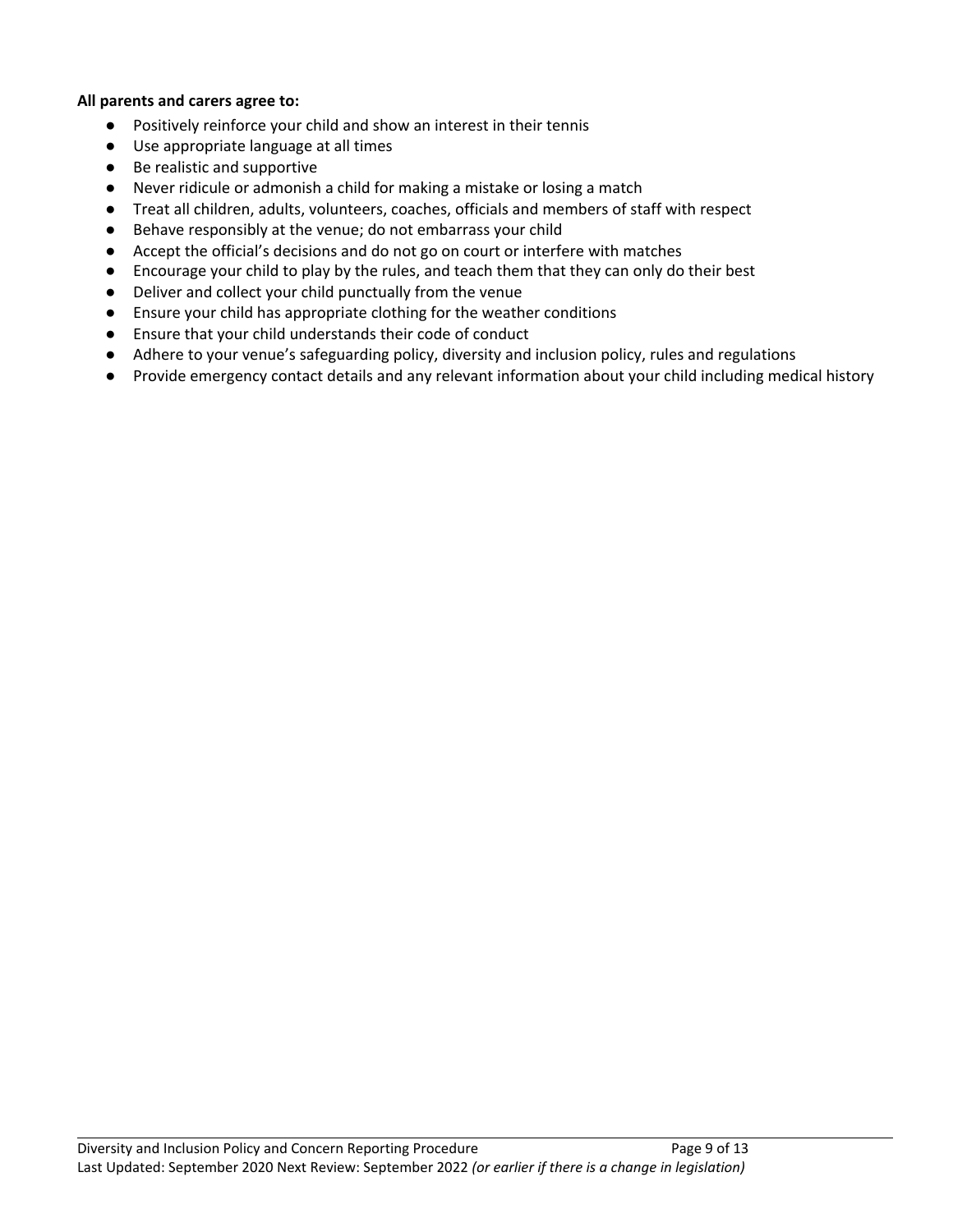#### **All parents and carers agree to:**

- Positively reinforce your child and show an interest in their tennis
- Use appropriate language at all times
- Be realistic and supportive
- Never ridicule or admonish a child for making a mistake or losing a match
- Treat all children, adults, volunteers, coaches, officials and members of staff with respect
- Behave responsibly at the venue; do not embarrass your child
- Accept the official's decisions and do not go on court or interfere with matches
- Encourage your child to play by the rules, and teach them that they can only do their best
- Deliver and collect your child punctually from the venue
- Ensure your child has appropriate clothing for the weather conditions
- Ensure that your child understands their code of conduct
- Adhere to your venue's safeguarding policy, diversity and inclusion policy, rules and regulations
- Provide emergency contact details and any relevant information about your child including medical history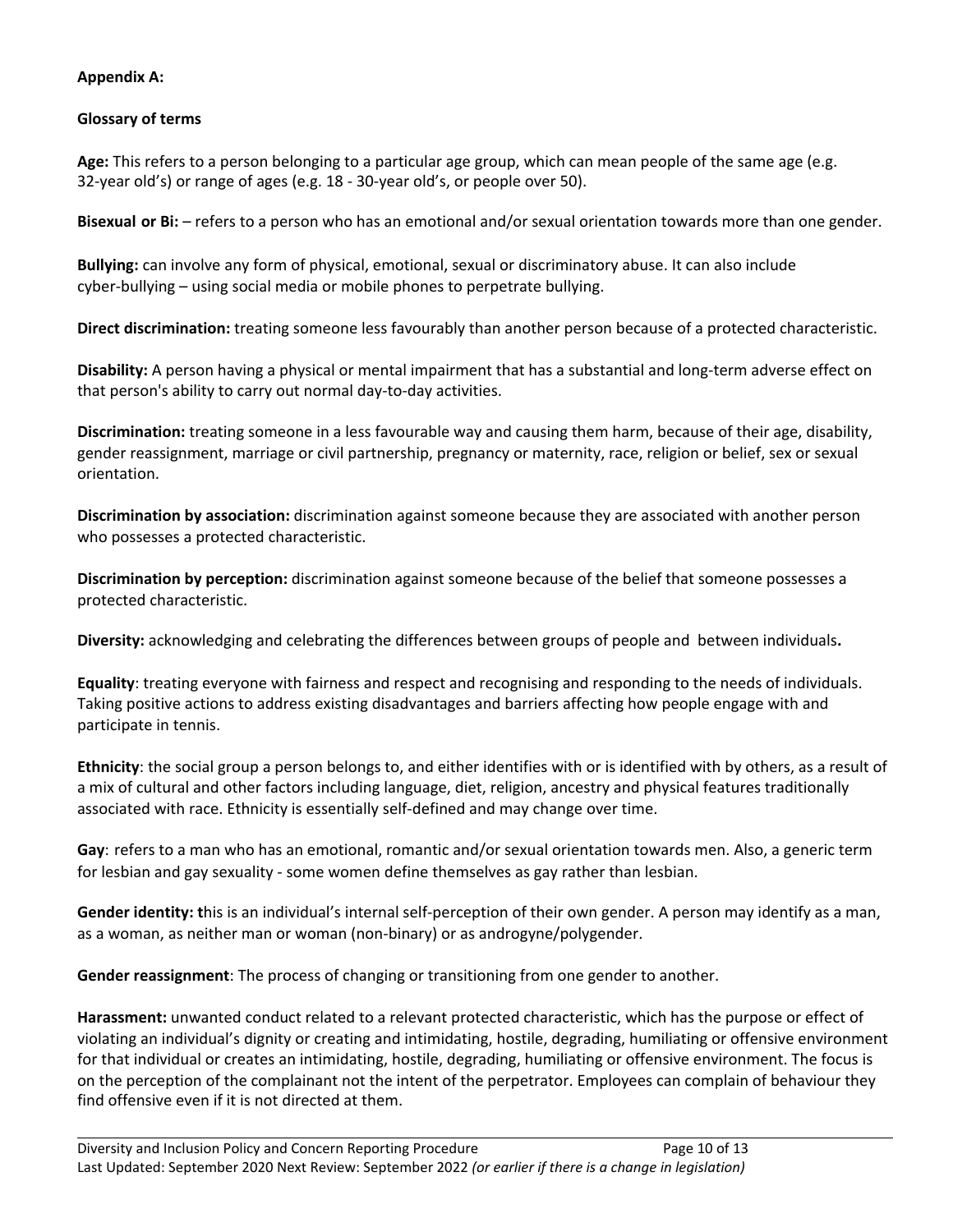#### **Appendix A:**

#### **Glossary of terms**

**Age:** This refers to a person belonging to a particular age group, which can mean people of the same age (e.g. 32-year old's) or range of ages (e.g. 18 - 30-year old's, or people over 50).

**Bisexual or Bi:** – refers to a person who has an emotional and/or sexual orientation towards more than one gender.

**Bullying:** can involve any form of physical, emotional, sexual or discriminatory abuse. It can also include cyber-bullying – using social media or mobile phones to perpetrate bullying.

**Direct discrimination:** treating someone less favourably than another person because of a protected characteristic.

**Disability:** A person having a physical or mental impairment that has a substantial and long-term adverse effect on that person's ability to carry out normal day-to-day activities.

**Discrimination:** treating someone in a less favourable way and causing them harm, because of their age, disability, gender reassignment, marriage or civil partnership, pregnancy or maternity, race, religion or belief, sex or sexual orientation.

**Discrimination by association:** discrimination against someone because they are associated with another person who possesses a protected characteristic.

**Discrimination by perception:** discrimination against someone because of the belief that someone possesses a protected characteristic.

**Diversity:** acknowledging and celebrating the differences between groups of people and between individuals**.**

**Equality**: treating everyone with fairness and respect and recognising and responding to the needs of individuals. Taking positive actions to address existing disadvantages and barriers affecting how people engage with and participate in tennis.

**Ethnicity**: the social group a person belongs to, and either identifies with or is identified with by others, as a result of a mix of cultural and other factors including language, diet, religion, ancestry and physical features traditionally associated with race. Ethnicity is essentially self-defined and may change over time.

**Gay**: refers to a man who has an emotional, romantic and/or sexual orientation towards men. Also, a generic term for lesbian and gay sexuality - some women define themselves as gay rather than lesbian.

**Gender identity: t**his is an individual's internal self-perception of their own gender. A person may identify as a man, as a woman, as neither man or woman (non-binary) or as androgyne/polygender.

**Gender reassignment**: The process of changing or transitioning from one gender to another.

**Harassment:** unwanted conduct related to a relevant protected characteristic, which has the purpose or effect of violating an individual's dignity or creating and intimidating, hostile, degrading, humiliating or offensive environment for that individual or creates an intimidating, hostile, degrading, humiliating or offensive environment. The focus is on the perception of the complainant not the intent of the perpetrator. Employees can complain of behaviour they find offensive even if it is not directed at them.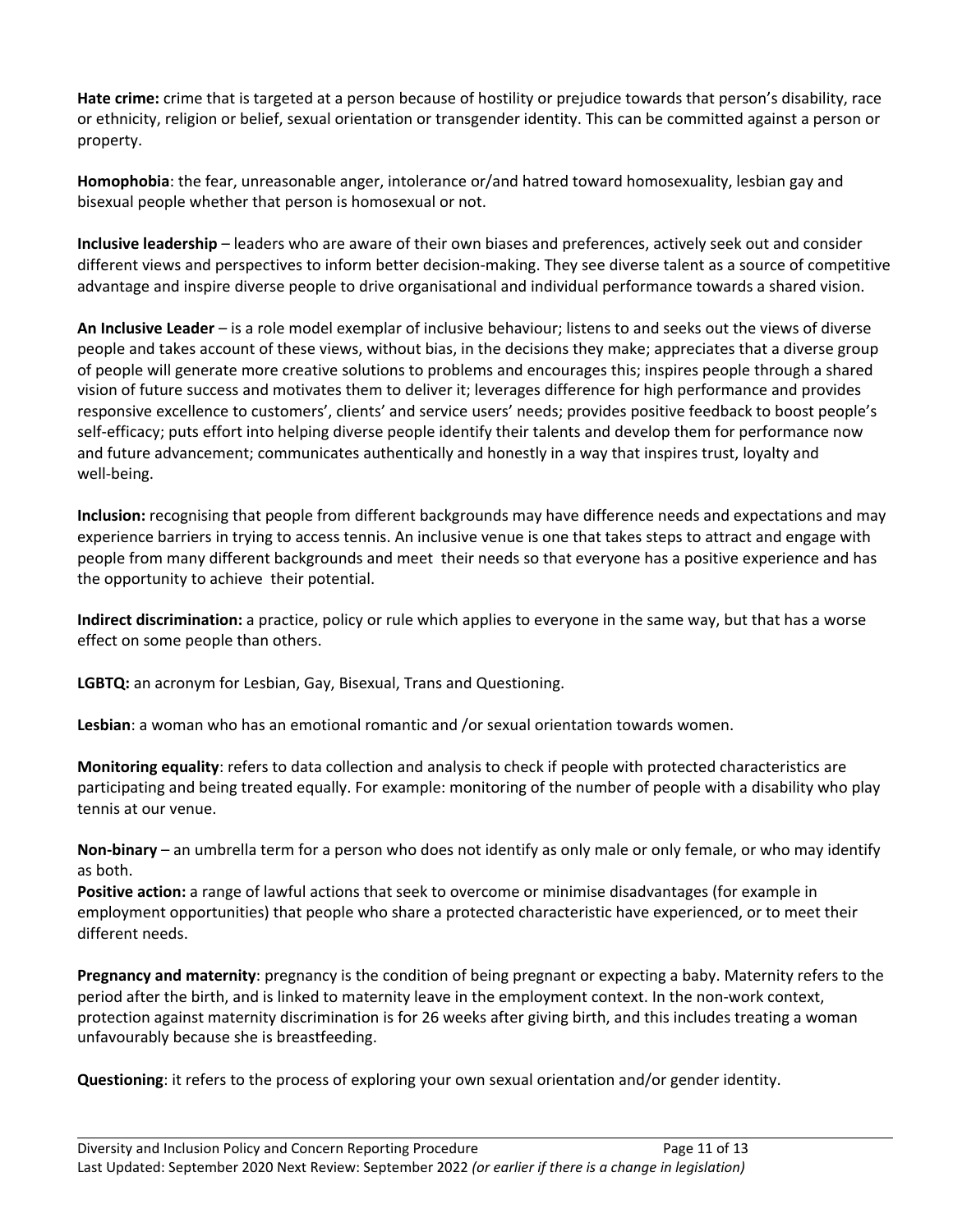**Hate crime:** crime that is targeted at a person because of hostility or prejudice towards that person's disability, race or ethnicity, religion or belief, sexual orientation or transgender identity. This can be committed against a person or property.

**Homophobia**: the fear, unreasonable anger, intolerance or/and hatred toward homosexuality, lesbian gay and bisexual people whether that person is homosexual or not.

**Inclusive leadership** – leaders who are aware of their own biases and preferences, actively seek out and consider different views and perspectives to inform better decision-making. They see diverse talent as a source of competitive advantage and inspire diverse people to drive organisational and individual performance towards a shared vision.

**An Inclusive Leader** – is a role model exemplar of inclusive behaviour; listens to and seeks out the views of diverse people and takes account of these views, without bias, in the decisions they make; appreciates that a diverse group of people will generate more creative solutions to problems and encourages this; inspires people through a shared vision of future success and motivates them to deliver it; leverages difference for high performance and provides responsive excellence to customers', clients' and service users' needs; provides positive feedback to boost people's self-efficacy; puts effort into helping diverse people identify their talents and develop them for performance now and future advancement; communicates authentically and honestly in a way that inspires trust, loyalty and well-being.

**Inclusion:** recognising that people from different backgrounds may have difference needs and expectations and may experience barriers in trying to access tennis. An inclusive venue is one that takes steps to attract and engage with people from many different backgrounds and meet their needs so that everyone has a positive experience and has the opportunity to achieve their potential.

**Indirect discrimination:** a practice, policy or rule which applies to everyone in the same way, but that has a worse effect on some people than others.

**LGBTQ:** an acronym for Lesbian, Gay, Bisexual, Trans and Questioning.

**Lesbian**: a woman who has an emotional romantic and /or sexual orientation towards women.

**Monitoring equality**: refers to data collection and analysis to check if people with protected characteristics are participating and being treated equally. For example: monitoring of the number of people with a disability who play tennis at our venue.

**Non-binary** – an umbrella term for a person who does not identify as only male or only female, or who may identify as both.

**Positive action:** a range of lawful actions that seek to overcome or minimise disadvantages (for example in employment opportunities) that people who share a protected characteristic have experienced, or to meet their different needs.

**Pregnancy and maternity**: pregnancy is the condition of being pregnant or expecting a baby. Maternity refers to the period after the birth, and is linked to maternity leave in the employment context. In the non-work context, protection against maternity discrimination is for 26 weeks after giving birth, and this includes treating a woman unfavourably because she is breastfeeding.

**Questioning**: it refers to the process of exploring your own sexual orientation and/or gender identity.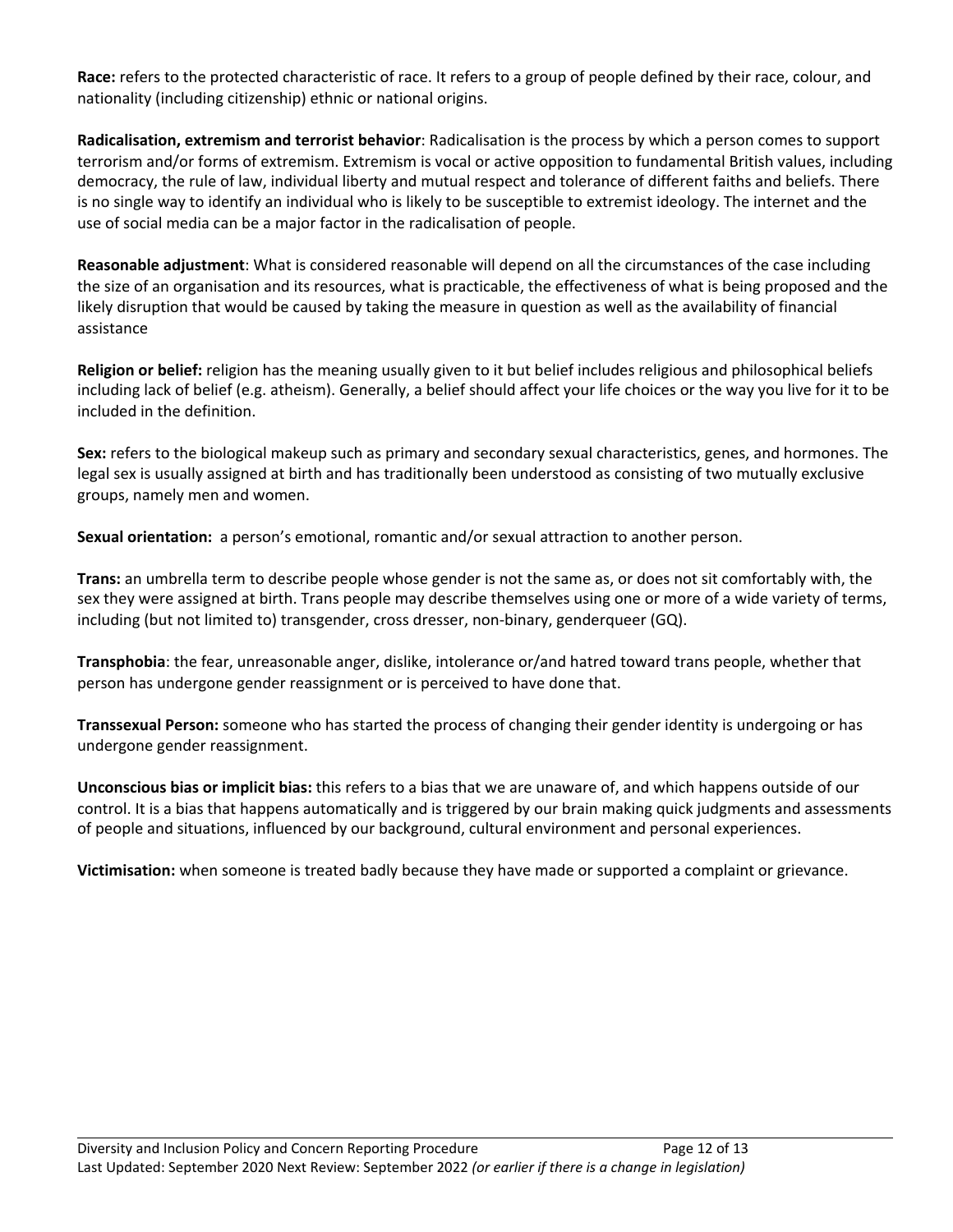**Race:** refers to the protected characteristic of race. It refers to a group of people defined by their race, colour, and nationality (including citizenship) ethnic or national origins.

**Radicalisation, extremism and terrorist behavior**: Radicalisation is the process by which a person comes to support terrorism and/or forms of extremism. Extremism is vocal or active opposition to fundamental British values, including democracy, the rule of law, individual liberty and mutual respect and tolerance of different faiths and beliefs. There is no single way to identify an individual who is likely to be susceptible to extremist ideology. The internet and the use of social media can be a major factor in the radicalisation of people.

**Reasonable adjustment**: What is considered reasonable will depend on all the circumstances of the case including the size of an organisation and its resources, what is practicable, the effectiveness of what is being proposed and the likely disruption that would be caused by taking the measure in question as well as the availability of financial assistance

**Religion or belief:** religion has the meaning usually given to it but belief includes religious and philosophical beliefs including lack of belief (e.g. atheism). Generally, a belief should affect your life choices or the way you live for it to be included in the definition.

**Sex:** refers to the biological makeup such as primary and secondary sexual characteristics, genes, and hormones. The legal sex is usually assigned at birth and has traditionally been understood as consisting of two mutually exclusive groups, namely men and women.

**Sexual orientation:** a person's emotional, romantic and/or sexual attraction to another person.

**Trans:** an umbrella term to describe people whose gender is not the same as, or does not sit comfortably with, the sex they were assigned at birth. Trans people may describe themselves using one or more of a wide variety of terms, including (but not limited to) transgender, cross dresser, non-binary, genderqueer (GQ).

**Transphobia**: the fear, unreasonable anger, dislike, intolerance or/and hatred toward trans people, whether that person has undergone gender reassignment or is perceived to have done that.

**Transsexual Person:** someone who has started the process of changing their gender identity is undergoing or has undergone gender reassignment.

**Unconscious bias or implicit bias:** this refers to a bias that we are unaware of, and which happens outside of our control. It is a bias that happens automatically and is triggered by our brain making quick judgments and assessments of people and situations, influenced by our background, cultural environment and personal experiences.

**Victimisation:** when someone is treated badly because they have made or supported a complaint or grievance.